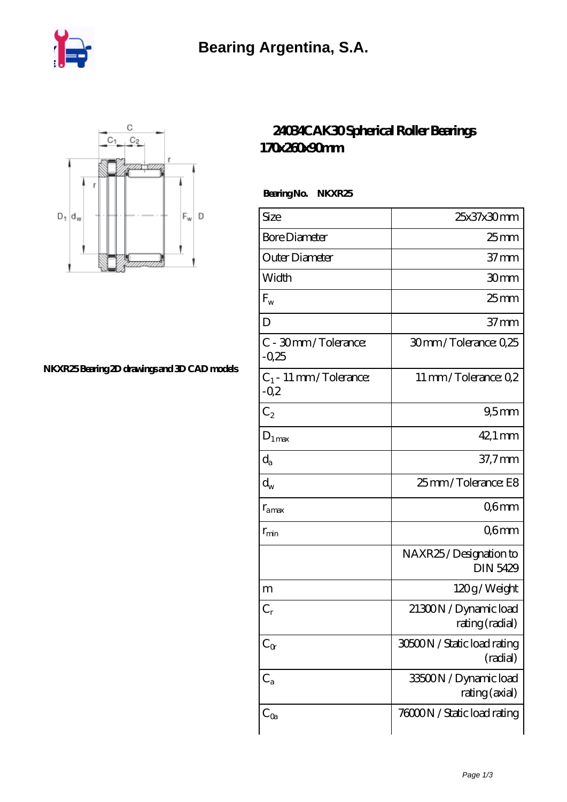



## **[NKXR25 Bearing 2D drawings and 3D CAD models](https://nbfk.org/pic-65199920.html)**

## **[24034CAK30 Spherical Roller Bearings](https://nbfk.org/bz-65199920-24034cak30-spherical-roller-bearings-170x260x90mm.html) [170x260x90mm](https://nbfk.org/bz-65199920-24034cak30-spherical-roller-bearings-170x260x90mm.html)**

 **Bearing No. NKXR25**

| Size                              | 25x37x30mm                               |
|-----------------------------------|------------------------------------------|
| <b>Bore Diameter</b>              | $25 \text{mm}$                           |
| Outer Diameter                    | $37 \text{mm}$                           |
| Width                             | 30mm                                     |
| $F_{w}$                           | $25 \text{mm}$                           |
| D                                 | $37 \text{mm}$                           |
| C - 30mm/Tolerance:<br>$-0.25$    | 30mm/Tolerance: 0,25                     |
| $C_1$ - 11 mm/Tolerance:<br>$-Q2$ | 11 mm/Tolerance: Q2                      |
| $C_2$                             | 95mm                                     |
| $D_{1 max}$                       | $42.1 \,\mathrm{mm}$                     |
| $\mathrm{d}_{\mathrm{a}}$         | $37.7$ mm                                |
| $\operatorname{d}_{\mathrm{w}}$   | 25mm/Tolerance: E8                       |
| $r_{\rm amax}$                    | Q6mm                                     |
| $r_{\rm min}$                     | Q6mm                                     |
|                                   | NAXR25/Designation to<br><b>DIN 5429</b> |
| m                                 | 120g/Weight                              |
| $C_r$                             | 21300N / Dynamic load<br>rating (radial) |
| $C_{\alpha}$                      | 30500N / Static load rating<br>(radial)  |
| $C_{a}$                           | 33500N / Dynamic load<br>rating (axial)  |
| $C_{Qa}$                          | 76000N / Static load rating              |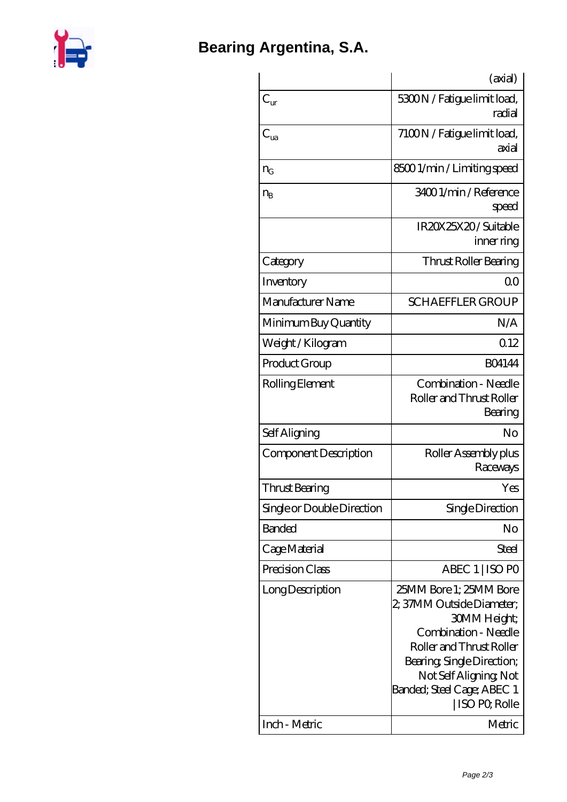

|                            | (axial)                                                                                                                                                                                                                        |
|----------------------------|--------------------------------------------------------------------------------------------------------------------------------------------------------------------------------------------------------------------------------|
| $C_{\text{ur}}$            | 5300N / Fatigue limit load,<br>radial                                                                                                                                                                                          |
| $C_{ua}$                   | 7100N / Fatigue limit load,<br>axial                                                                                                                                                                                           |
| $n_G$                      | 85001/min/Limiting speed                                                                                                                                                                                                       |
| $n_{B}$                    | 34001/min/Reference<br>speed                                                                                                                                                                                                   |
|                            | IR20X25X20/Suitable<br>inner ring                                                                                                                                                                                              |
| Category                   | Thrust Roller Bearing                                                                                                                                                                                                          |
| Inventory                  | Q0                                                                                                                                                                                                                             |
| Manufacturer Name          | <b>SCHAEFFLER GROUP</b>                                                                                                                                                                                                        |
| Minimum Buy Quantity       | N/A                                                                                                                                                                                                                            |
| Weight / Kilogram          | Q12                                                                                                                                                                                                                            |
| Product Group              | <b>BO4144</b>                                                                                                                                                                                                                  |
| Rolling Element            | Combination - Needle<br>Roller and Thrust Roller<br>Bearing                                                                                                                                                                    |
| Self Aligning              | No                                                                                                                                                                                                                             |
| Component Description      | Roller Assembly plus<br>Raceways                                                                                                                                                                                               |
| Thrust Bearing             | Yes                                                                                                                                                                                                                            |
| Single or Double Direction | Single Direction                                                                                                                                                                                                               |
| <b>Banded</b>              | No                                                                                                                                                                                                                             |
| Cage Material              | <b>Steel</b>                                                                                                                                                                                                                   |
| Precision Class            | ABEC 1   ISO PO                                                                                                                                                                                                                |
| Long Description           | 25MM Bore 1; 25MM Bore<br>2, 37MM Outside Diameter;<br>30MM Height;<br>Combination - Needle<br>Roller and Thrust Roller<br>Bearing, Single Direction;<br>Not Self Aligning, Not<br>Banded; Steel Cage; ABEC 1<br>ISO PO, Rolle |
| Inch - Metric              | Metric                                                                                                                                                                                                                         |